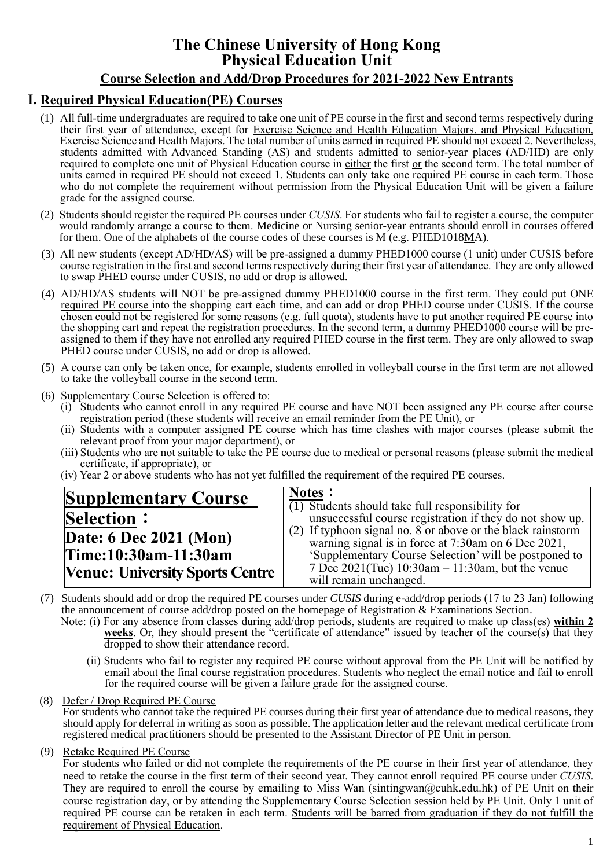# **The Chinese University of Hong Kong Physical Education Unit**

# **Course Selection and Add/Drop Procedures for 2021-2022 New Entrants**

## **Ⅰ. Required Physical Education(PE) Courses**

- (1) All full-time undergraduates are required to take one unit of PE course in the first and second terms respectively during their first year of attendance, except for Exercise Science and Health Education Majors, and Physical Education, Exercise Science and Health Majors. The total number of units earned in required PE should not exceed 2. Nevertheless, students admitted with Advanced Standing (AS) and students admitted to senior-year places (AD/HD) are only required to complete one unit of Physical Education course in either the first or the second term. The total number of units earned in required PE should not exceed 1. Students can only take one required PE course in each term. Those who do not complete the requirement without permission from the Physical Education Unit will be given a failure grade for the assigned course.
- (2) Students should register the required PE courses under *CUSIS*. For students who fail to register a course, the computer would randomly arrange a course to them. Medicine or Nursing senior-year entrants should enroll in courses offered for them. One of the alphabets of the course codes of these courses is M (e.g. PHED1018MA).
- (3) All new students (except AD/HD/AS) will be pre-assigned a dummy PHED1000 course (1 unit) under CUSIS before course registration in the first and second terms respectively during their first year of attendance. They are only allowed to swap PHED course under CUSIS, no add or drop is allowed.
- (4) AD/HD/AS students will NOT be pre-assigned dummy PHED1000 course in the first term. They could put ONE required PE course into the shopping cart each time, and can add or drop PHED course under CUSIS. If the course chosen could not be registered for some reasons (e.g. full quota), students have to put another required PE course into the shopping cart and repeat the registration procedures. In the second term, a dummy PHED1000 course will be preassigned to them if they have not enrolled any required PHED course in the first term. They are only allowed to swap PHED course under CUSIS, no add or drop is allowed.
- (5) A course can only be taken once, for example, students enrolled in volleyball course in the first term are not allowed to take the volleyball course in the second term.
- (6) Supplementary Course Selection is offered to:
	- (i) Students who cannot enroll in any required PE course and have NOT been assigned any PE course after course registration period (these students will receive an email reminder from the PE Unit), or
	- (ii) Students with a computer assigned PE course which has time clashes with major courses (please submit the relevant proof from your major department), or
	- (iii) Students who are not suitable to take the PE course due to medical or personal reasons (please submit the medical certificate, if appropriate), or
	- (iv) Year 2 or above students who has not yet fulfilled the requirement of the required PE courses.

| <b>Supplementary Course</b>            | <b>Notes:</b><br>$\overline{(1)}$ Students should take full responsibility for                                     |
|----------------------------------------|--------------------------------------------------------------------------------------------------------------------|
| <b>Selection:</b>                      | unsuccessful course registration if they do not show up.                                                           |
| Date: 6 Dec 2021 (Mon)                 | (2) If typhoon signal no. 8 or above or the black rainstorm<br>warning signal is in force at 7:30am on 6 Dec 2021, |
| Time:10:30am-11:30am                   | 'Supplementary Course Selection' will be postponed to                                                              |
| <b>Venue: University Sports Centre</b> | 7 Dec 2021(Tue) $10:30$ am - 11:30am, but the venue<br>will remain unchanged.                                      |

- (7) Students should add or drop the required PE courses under *CUSIS* during e-add/drop periods (17 to 23 Jan) following the announcement of course add/drop posted on the homepage of Registration & Examinations Section.
	- Note: (i) For any absence from classes during add/drop periods, students are required to make up class(es) **within 2**  weeks. Or, they should present the "certificate of attendance" issued by teacher of the course(s) that they dropped to show their attendance record.
		- (ii) Students who fail to register any required PE course without approval from the PE Unit will be notified by email about the final course registration procedures. Students who neglect the email notice and fail to enroll for the required course will be given a failure grade for the assigned course.

(8) Defer / Drop Required PE Course

For students who cannot take the required PE courses during their first year of attendance due to medical reasons, they should apply for deferral in writing as soon as possible. The application letter and the relevant medical certificate from registered medical practitioners should be presented to the Assistant Director of PE Unit in person.

(9) Retake Required PE Course

For students who failed or did not complete the requirements of the PE course in their first year of attendance, they need to retake the course in the first term of their second year. They cannot enroll required PE course under *CUSIS*. They are required to enroll the course by emailing to Miss Wan (sintingwan@cuhk.edu.hk) of PE Unit on their course registration day, or by attending the Supplementary Course Selection session held by PE Unit. Only 1 unit of required PE course can be retaken in each term. Students will be barred from graduation if they do not fulfill the requirement of Physical Education.